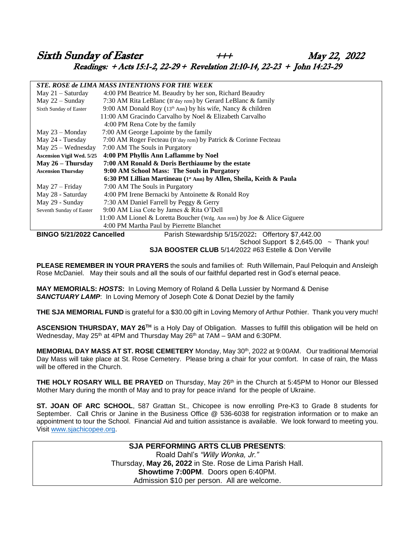## Sixth Sunday of Easter  $+ + +$  May 22, 2022 Readings: + Acts 15:1-2, 22-29 + Revelation 21:10-14, 22-23 + John 14:23-29

| STE. ROSE de LIMA MASS INTENTIONS FOR THE WEEK                                  |                                                                                 |  |  |
|---------------------------------------------------------------------------------|---------------------------------------------------------------------------------|--|--|
| May 21 - Saturday                                                               | 4:00 PM Beatrice M. Beaudry by her son, Richard Beaudry                         |  |  |
| May $22 -$ Sunday                                                               | 7:30 AM Rita LeBlanc (B'day rem) by Gerard LeBlanc & family                     |  |  |
| Sixth Sunday of Easter                                                          | 9:00 AM Donald Roy ( $13th$ Ann) by his wife, Nancy & children                  |  |  |
|                                                                                 | 11:00 AM Gracindo Carvalho by Noel & Elizabeth Carvalho                         |  |  |
|                                                                                 | 4:00 PM Rena Cote by the family                                                 |  |  |
| May $23 -$ Monday                                                               | 7:00 AM George Lapointe by the family                                           |  |  |
| May 24 - Tuesday                                                                | 7:00 AM Roger Fecteau (B'day rem) by Patrick & Corinne Fecteau                  |  |  |
| May $25 -$ Wednesday                                                            | 7:00 AM The Souls in Purgatory                                                  |  |  |
| <b>Ascension Vigil Wed. 5/25</b>                                                | 4:00 PM Phyllis Ann Laflamme by Noel                                            |  |  |
| May $26$ – Thursday                                                             | 7:00 AM Ronald & Doris Berthiaume by the estate                                 |  |  |
| <b>Ascension Thursday</b>                                                       | 9:00 AM School Mass: The Souls in Purgatory                                     |  |  |
|                                                                                 | 6:30 PM Lillian Martineau (1 <sup>st</sup> Ann) by Allen, Sheila, Keith & Paula |  |  |
| May $27 -$ Friday                                                               | 7:00 AM The Souls in Purgatory                                                  |  |  |
| May 28 - Saturday                                                               | 4:00 PM Irene Bernacki by Antoinette & Ronald Roy                               |  |  |
| May 29 - Sunday                                                                 | 7:30 AM Daniel Farrell by Peggy & Gerry                                         |  |  |
| Seventh Sunday of Easter                                                        | 9:00 AM Lisa Cote by James & Rita O'Dell                                        |  |  |
|                                                                                 | 11:00 AM Lionel & Loretta Boucher (Wdg. Ann rem) by Joe & Alice Giguere         |  |  |
|                                                                                 | 4:00 PM Martha Paul by Pierrette Blanchet                                       |  |  |
| BINGO 5/21/2022 Cancelled<br>Parish Stewardship 5/15/2022: Offertory \$7,442.00 |                                                                                 |  |  |
|                                                                                 | Cahool Current @ O CAE OO<br>التمدين بالمرتج بمالى                              |  |  |

School Support  $$2,645.00$  ~ Thank you! **SJA BOOSTER CLUB** 5/14/2022 #63 Estelle & Don Verville

**PLEASE REMEMBER IN YOUR PRAYERS** the souls and families of: Ruth Willemain, Paul Peloquin and Ansleigh Rose McDaniel. May their souls and all the souls of our faithful departed rest in God's eternal peace.

**MAY MEMORIALS:** *HOSTS***:** In Loving Memory of Roland & Della Lussier by Normand & Denise *SANCTUARY LAMP*: In Loving Memory of Joseph Cote & Donat Deziel by the family

**THE SJA MEMORIAL FUND** is grateful for a \$30.00 gift in Loving Memory of Arthur Pothier. Thank you very much!

**ASCENSION THURSDAY, MAY 26TH** is a Holy Day of Obligation. Masses to fulfill this obligation will be held on Wednesday, May 25<sup>th</sup> at 4PM and Thursday May 26<sup>th</sup> at 7AM – 9AM and 6:30PM.

**MEMORIAL DAY MASS AT ST. ROSE CEMETERY** Monday, May 30th, 2022 at 9:00AM. Our traditional Memorial Day Mass will take place at St. Rose Cemetery. Please bring a chair for your comfort. In case of rain, the Mass will be offered in the Church.

**THE HOLY ROSARY WILL BE PRAYED** on Thursday, May 26<sup>th</sup> in the Church at 5:45PM to Honor our Blessed Mother Mary during the month of May and to pray for peace in/and for the people of Ukraine.

**ST. JOAN OF ARC SCHOOL**, 587 Grattan St., Chicopee is now enrolling Pre-K3 to Grade 8 students for September. Call Chris or Janine in the Business Office @ 536-6038 for registration information or to make an appointment to tour the School. Financial Aid and tuition assistance is available. We look forward to meeting you. Visit [www.sjachicopee.org.](http://www.sjachicopee.org/)

### **SJA PERFORMING ARTS CLUB PRESENTS**: Roald Dahl's *"Willy Wonka, Jr."* Thursday, **May 26, 2022** in Ste. Rose de Lima Parish Hall. **Showtime 7:00PM**. Doors open 6:40PM. Admission \$10 per person. All are welcome.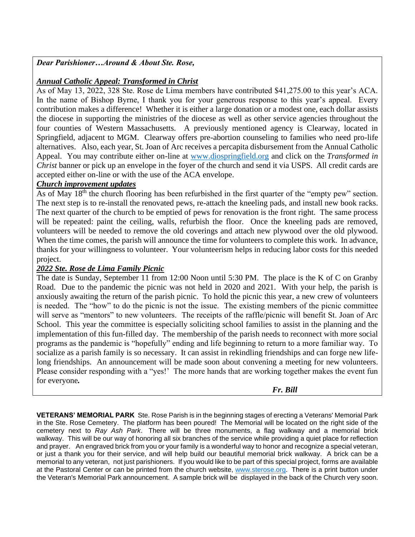*Dear Parishioner…Around & About Ste. Rose,*

## *Annual Catholic Appeal: Transformed in Christ*

As of May 13, 2022, 328 Ste. Rose de Lima members have contributed \$41,275.00 to this year's ACA. In the name of Bishop Byrne, I thank you for your generous response to this year's appeal. Every contribution makes a difference! Whether it is either a large donation or a modest one, each dollar assists the diocese in supporting the ministries of the diocese as well as other service agencies throughout the four counties of Western Massachusetts. A previously mentioned agency is Clearway, located in Springfield, adjacent to MGM. Clearway offers pre-abortion counseling to families who need pro-life alternatives. Also, each year, St. Joan of Arc receives a percapita disbursement from the Annual Catholic Appeal. You may contribute either on-line at [www.diospringfield.org](http://www.diospringfield.org/) and click on the *Transformed in Christ* banner or pick up an envelope in the foyer of the church and send it via USPS. All credit cards are accepted either on-line or with the use of the ACA envelope.

## *Church improvement updates*

As of May  $18<sup>th</sup>$  the church flooring has been refurbished in the first quarter of the "empty pew" section. The next step is to re-install the renovated pews, re-attach the kneeling pads, and install new book racks. The next quarter of the church to be emptied of pews for renovation is the front right. The same process will be repeated: paint the ceiling, walls, refurbish the floor. Once the kneeling pads are removed, volunteers will be needed to remove the old coverings and attach new plywood over the old plywood. When the time comes, the parish will announce the time for volunteers to complete this work. In advance, thanks for your willingness to volunteer. Your volunteerism helps in reducing labor costs for this needed project.

## *2022 Ste. Rose de Lima Family Picnic*

The date is Sunday, September 11 from 12:00 Noon until 5:30 PM. The place is the K of C on Granby Road. Due to the pandemic the picnic was not held in 2020 and 2021. With your help, the parish is anxiously awaiting the return of the parish picnic. To hold the picnic this year, a new crew of volunteers is needed. The "how" to do the picnic is not the issue. The existing members of the picnic committee will serve as "mentors" to new volunteers. The receipts of the raffle/picnic will benefit St. Joan of Arc School. This year the committee is especially soliciting school families to assist in the planning and the implementation of this fun-filled day. The membership of the parish needs to reconnect with more social programs as the pandemic is "hopefully" ending and life beginning to return to a more familiar way. To socialize as a parish family is so necessary. It can assist in rekindling friendships and can forge new lifelong friendships. An announcement will be made soon about convening a meeting for new volunteers. Please consider responding with a "yes!' The more hands that are working together makes the event fun for everyone*.* 

 *Fr. Bill*

**VETERANS' MEMORIAL PARK** Ste. Rose Parish is in the beginning stages of erecting a Veterans' Memorial Park in the Ste. Rose Cemetery. The platform has been poured! The Memorial will be located on the right side of the cemetery next to *Ray Ash Park*. There will be three monuments, a flag walkway and a memorial brick walkway. This will be our way of honoring all six branches of the service while providing a quiet place for reflection and prayer. An engraved brick from you or your family is a wonderful way to honor and recognize a special veteran, or just a thank you for their service, and will help build our beautiful memorial brick walkway. A brick can be a memorial to any veteran, not just parishioners. If you would like to be part of this special project, forms are available at the Pastoral Center or can be printed from the church website, [www.sterose.org.](http://www.sterose.org/) There is a print button under the Veteran's Memorial Park announcement. A sample brick will be displayed in the back of the Church very soon.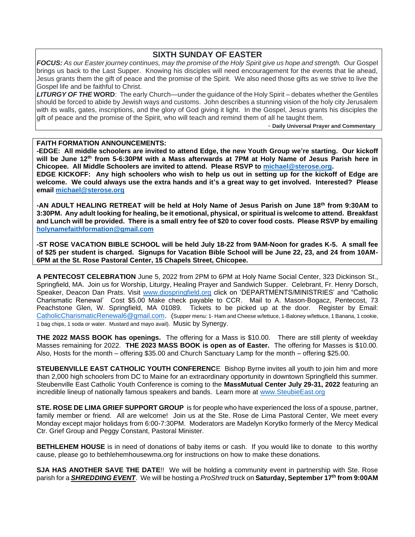## **SIXTH SUNDAY OF EASTER**

*FOCUS: As our Easter journey continues, may the promise of the Holy Spirit give us hope and strength.* Our Gospel brings us back to the Last Supper. Knowing his disciples will need encouragement for the events that lie ahead, Jesus grants them the gift of peace and the promise of the Spirit. We also need those gifts as we strive to live the Gospel life and be faithful to Christ.

*LITURGY OF THE* **WORD**: The early Church—under the guidance of the Holy Spirit – debates whether the Gentiles should be forced to abide by Jewish ways and customs. John describes a stunning vision of the holy city Jerusalem with its walls, gates, inscriptions, and the glory of God giving it light. In the Gospel, Jesus grants his disciples the gift of peace and the promise of the Spirit, who will teach and remind them of all he taught them.

- **Daily Universal Prayer and Commentary**

#### **FAITH FORMATION ANNOUNCEMENTS:**

**-EDGE: All middle schoolers are invited to attend Edge, the new Youth Group we're starting. Our kickoff will be June 12th from 5-6:30PM with a Mass afterwards at 7PM at Holy Name of Jesus Parish here in Chicopee. All Middle Schoolers are invited to attend. Please RSVP to [michael@sterose.org.](mailto:michael@sterose.org)**

**EDGE KICKOFF: Any high schoolers who wish to help us out in setting up for the kickoff of Edge are welcome. We could always use the extra hands and it's a great way to get involved. Interested? Please email [michael@sterose.org](mailto:michael@sterose.org)**

**-AN ADULT HEALING RETREAT will be held at Holy Name of Jesus Parish on June 18th from 9:30AM to 3:30PM. Any adult looking for healing, be it emotional, physical, or spiritual is welcome to attend. Breakfast and Lunch will be provided. There is a small entry fee of \$20 to cover food costs. Please RSVP by emailing [holynamefaithformation@gmail.com](mailto:holynamefaithformation@gmail.com)**

**-ST ROSE VACATION BIBLE SCHOOL will be held July 18-22 from 9AM-Noon for grades K-5. A small fee of \$25 per student is charged. Signups for Vacation Bible School will be June 22, 23, and 24 from 10AM-6PM at the St. Rose Pastoral Center, 15 Chapels Street, Chicopee.** 

**A PENTECOST CELEBRATION** June 5, 2022 from 2PM to 6PM at Holy Name Social Center, 323 Dickinson St., Springfield, MA. Join us for Worship, Liturgy, Healing Prayer and Sandwich Supper. Celebrant, Fr. Henry Dorsch, Speaker, Deacon Dan Prats. Visit [www.diospringfield.org](http://www.diospringfield.org/) click on 'DEPARTMENTS/MINISTRIES' and "Catholic Charismatic Renewal' Cost \$5.00 Make check payable to CCR. Mail to A. Mason-Bogacz, Pentecost, 73 Peachstone Glen, W. Springfield, MA 01089. Tickets to be picked up at the door. Register by Email: [CatholicCharismaticRenewal6@gmail.com.](mailto:CatholicCharismaticRenewal6@gmail.com) (Supper menu: 1- Ham and Cheese w/lettuce, 1-Baloney w/lettuce, 1 Banana, 1 cookie, 1 bag chips, 1 soda or water. Mustard and mayo avail). Music by Synergy.

**THE 2022 MASS BOOK has openings.** The offering for a Mass is \$10.00. There are still plenty of weekday Masses remaining for 2022. **THE 2023 MASS BOOK is open as of Easter.** The offering for Masses is \$10.00. Also, Hosts for the month – offering \$35.00 and Church Sanctuary Lamp for the month – offering \$25.00.

**STEUBENVILLE EAST CATHOLIC YOUTH CONFERENC**E Bishop Byrne invites all youth to join him and more than 2,000 high schoolers from DC to Maine for an extraordinary opportunity in downtown Springfield this summer. Steubenville East Catholic Youth Conference is coming to the **MassMutual Center July 29-31, 2022** featuring an incredible lineup of nationally famous speakers and bands. Learn more at [www.SteubieEast.org](http://www.steubieeast.org/) 

**STE. ROSE DE LIMA GRIEF SUPPORT GROUP** is for people who have experienced the loss of a spouse, partner, family member or friend. All are welcome! Join us at the Ste. Rose de Lima Pastoral Center, We meet every Monday except major holidays from 6:00-7:30PM. Moderators are Madelyn Korytko formerly of the Mercy Medical Ctr. Grief Group and Peggy Constant, Pastoral Minister.

**BETHLEHEM HOUSE** is in need of donations of baby items or cash. If you would like to donate to this worthy cause, please go to bethlehemhousewma.org for instructions on how to make these donations.

**SJA HAS ANOTHER SAVE THE DATE**!! We will be holding a community event in partnership with Ste. Rose parish for a *SHREDDING EVENT*. We will be hosting a *ProShred* truck on **Saturday, September 17th from 9:00AM**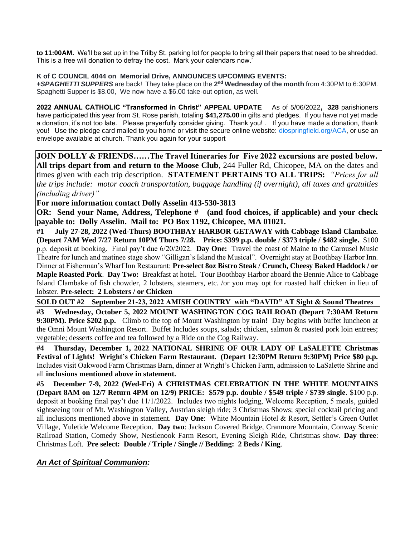**to 11:00AM.** We'll be set up in the Trilby St. parking lot for people to bring all their papers that need to be shredded. This is a free will donation to defray the cost. Mark your calendars now.'

### **K of C COUNCIL 4044 on Memorial Drive, ANNOUNCES UPCOMING EVENTS:**

**+SPAGHETTI SUPPERS** are back! They take place on the 2<sup>nd</sup> Wednesday of the month from 4:30PM to 6:30PM. Spaghetti Supper is \$8.00, We now have a \$6.00 take-out option, as well.

**2022 ANNUAL CATHOLIC "Transformed in Christ" APPEAL UPDATE** As of 5/06/2022**, 328** parishioners have participated this year from St. Rose parish, totaling **\$41,275.00** in gifts and pledges. If you have not yet made a donation, it's not too late. Please prayerfully consider giving. Thank you! . If you have made a donation, thank you! Use the pledge card mailed to you home or visit the secure online website: [diospringfield.org/ACA,](http://diospringfield.org/ACA) or use an envelope available at church. Thank you again for your support

**JOIN DOLLY & FRIENDS……The Travel Itineraries for Five 2022 excursions are posted below. All trips depart from and return to the Moose Club**, 244 Fuller Rd, Chicopee, MA on the dates and times given with each trip description. **STATEMENT PERTAINS TO ALL TRIPS:** *"Prices for all the trips include: motor coach transportation, baggage handling (if overnight), all taxes and gratuities (including driver)"* 

**For more information contact Dolly Asselin 413-530-3813**

**OR: Send your Name, Address, Telephone # (and food choices, if applicable) and your check payable to: Dolly Asselin. Mail to: PO Box 1192, Chicopee, MA 01021.** 

**#1 July 27-28, 2022 (Wed-Thurs) BOOTHBAY HARBOR GETAWAY with Cabbage Island Clambake. (Depart 7AM Wed 7/27 Return 10PM Thurs 7/28. Price: \$399 p.p. double / \$373 triple / \$482 single.** \$100 p.p. deposit at booking. Final pay't due 6/20/2022. **Day One:** Travel the coast of Maine to the Carousel Music Theatre for lunch and matinee stage show "Gilligan's Island the Musical". Overnight stay at Boothbay Harbor Inn. Dinner at Fisherman's Wharf Inn Restaurant: **Pre-select 8oz Bistro Steak / Crunch, Cheesy Baked Haddock / or Maple Roasted Pork**. **Day Two:** Breakfast at hotel. Tour Boothbay Harbor aboard the Bennie Alice to Cabbage Island Clambake of fish chowder, 2 lobsters, steamers, etc. /or you may opt for roasted half chicken in lieu of lobster. **Pre-select: 2 Lobsters / or Chicken**

**SOLD OUT #2 September 21-23, 2022 AMISH COUNTRY with "DAVID" AT Sight & Sound Theatres** 

**#3 Wednesday, October 5, 2022 MOUNT WASHINGTON COG RAILROAD (Depart 7:30AM Return 9:30PM). Price \$202 p.p.** Climb to the top of Mount Washington by train! Day begins with buffet luncheon at the Omni Mount Washington Resort. Buffet Includes soups, salads; chicken, salmon & roasted pork loin entrees; vegetable; desserts coffee and tea followed by a Ride on the Cog Railway.

**#4 Thursday, December 1, 2022 NATIONAL SHRINE OF OUR LADY OF LaSALETTE Christmas Festival of Lights! Wright's Chicken Farm Restaurant. (Depart 12:30PM Return 9:30PM) Price \$80 p.p.** Includes visit Oakwood Farm Christmas Barn, dinner at Wright's Chicken Farm, admission to LaSalette Shrine and all **inclusions mentioned above in statement.** 

**#5 December 7-9, 2022 (Wed-Fri) A CHRISTMAS CELEBRATION IN THE WHITE MOUNTAINS (Depart 8AM on 12/7 Return 4PM on 12/9) PRICE: \$579 p.p. double / \$549 triple / \$739 single**. \$100 p.p. deposit at booking final pay't due 11/1/2022. Includes two nights lodging, Welcome Reception, 5 meals, guided sightseeing tour of Mt. Washington Valley, Austrian sleigh ride; 3 Christmas Shows; special cocktail pricing and all inclusions mentioned above in statement. **Day One**: White Mountain Hotel & Resort, Settler's Green Outlet Village, Yuletide Welcome Reception. **Day two**: Jackson Covered Bridge, Cranmore Mountain, Conway Scenic Railroad Station, Comedy Show, Nestlenook Farm Resort, Evening Sleigh Ride, Christmas show. **Day three**: Christmas Loft. **Pre select: Double / Triple / Single // Bedding: 2 Beds / King**.

*An Act of Spiritual Communion:*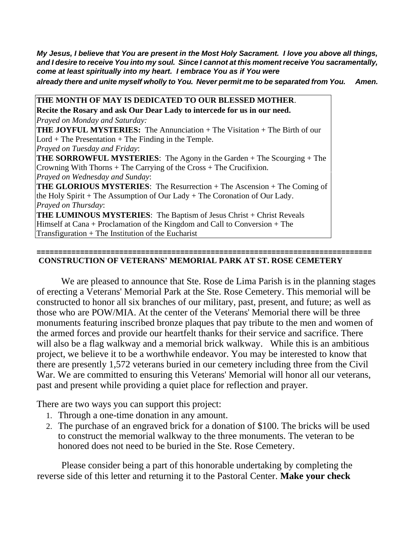*My Jesus, I believe that You are present in the Most Holy Sacrament. I love you above all things, and I desire to receive You into my soul. Since I cannot at this moment receive You sacramentally, come at least spiritually into my heart. I embrace You as if You were already there and unite myself wholly to You. Never permit me to be separated from You. Amen.*

**THE MONTH OF MAY IS DEDICATED TO OUR BLESSED MOTHER**. **Recite the Rosary and ask Our Dear Lady to intercede for us in our need.** *Prayed on Monday and Saturday:*  **THE JOYFUL MYSTERIES:** The Annunciation + The Visitation + The Birth of our  $Lord + The Presentation + The Finding in the Temple.$ *Prayed on Tuesday and Friday*: **THE SORROWFUL MYSTERIES**: The Agony in the Garden + The Scourging + The Crowning With Thorns + The Carrying of the Cross + The Crucifixion. *Prayed on Wednesday and Sunday*: **THE GLORIOUS MYSTERIES**: The Resurrection + The Ascension + The Coming of the Holy Spirit + The Assumption of Our Lady + The Coronation of Our Lady. *Prayed on Thursday*: **THE LUMINOUS MYSTERIES:** The Baptism of Jesus Christ + Christ Reveals Himself at Cana + Proclamation of the Kingdom and Call to Conversion + The Transfiguration + The Institution of the Eucharist

## **CONSTRUCTION OF VETERANS' MEMORIAL PARK AT ST. ROSE CEMETERY**

We are pleased to announce that Ste. Rose de Lima Parish is in the planning stages of erecting a Veterans' Memorial Park at the Ste. Rose Cemetery. This memorial will be constructed to honor all six branches of our military, past, present, and future; as well as those who are POW/MIA. At the center of the Veterans' Memorial there will be three monuments featuring inscribed bronze plaques that pay tribute to the men and women of the armed forces and provide our heartfelt thanks for their service and sacrifice. There will also be a flag walkway and a memorial brick walkway. While this is an ambitious project, we believe it to be a worthwhile endeavor. You may be interested to know that there are presently 1,572 veterans buried in our cemetery including three from the Civil War. We are committed to ensuring this Veterans' Memorial will honor all our veterans, past and present while providing a quiet place for reflection and prayer.

**=============================================================================**

There are two ways you can support this project:

- 1. Through a one-time donation in any amount.
- 2. The purchase of an engraved brick for a donation of \$100. The bricks will be used to construct the memorial walkway to the three monuments. The veteran to be honored does not need to be buried in the Ste. Rose Cemetery.

Please consider being a part of this honorable undertaking by completing the reverse side of this letter and returning it to the Pastoral Center. **Make your check**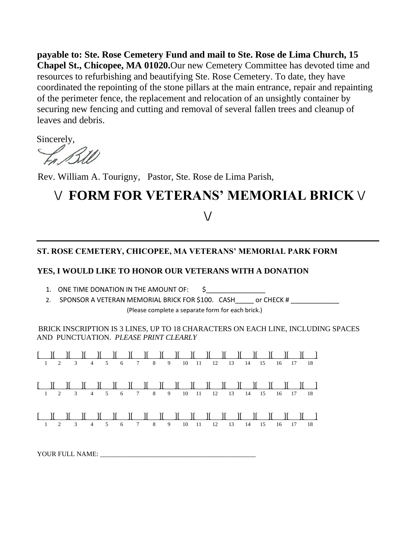**payable to: Ste. Rose Cemetery Fund and mail to Ste. Rose de Lima Church, 15 Chapel St., Chicopee, MA 01020.**Our new Cemetery Committee has devoted time and resources to refurbishing and beautifying Ste. Rose Cemetery. To date, they have coordinated the repointing of the stone pillars at the main entrance, repair and repainting of the perimeter fence, the replacement and relocation of an unsightly container by securing new fencing and cutting and removal of several fallen trees and cleanup of leaves and debris.

Sincerely,

Rev. William A. Tourigny, Pastor, Ste. Rose de Lima Parish,

# **\/ FORM FOR VETERANS' MEMORIAL BRICK \/**

## **\/**

## **ST. ROSE CEMETERY, CHICOPEE, MA VETERANS' MEMORIAL PARK FORM**

## **YES, I WOULD LIKE TO HONOR OUR VETERANS WITH A DONATION**

- 1. ONE TIME DONATION IN THE AMOUNT OF:  $\begin{matrix} 5 \end{matrix}$
- 2. SPONSOR A VETERAN MEMORIAL BRICK FOR \$100. CASH\_\_\_\_\_ or CHECK # \_\_\_\_\_\_\_\_\_\_\_\_\_ (Please complete a separate form for each brick.)

## BRICK INSCRIPTION IS 3 LINES, UP TO 18 CHARACTERS ON EACH LINE, INCLUDING SPACES AND PUNCTUATION. *PLEASE PRINT CLEARLY*



YOUR FULL NAME: \_\_\_\_\_\_\_\_\_\_\_\_\_\_\_\_\_\_\_\_\_\_\_\_\_\_\_\_\_\_\_\_\_\_\_\_\_\_\_\_\_\_\_\_\_\_